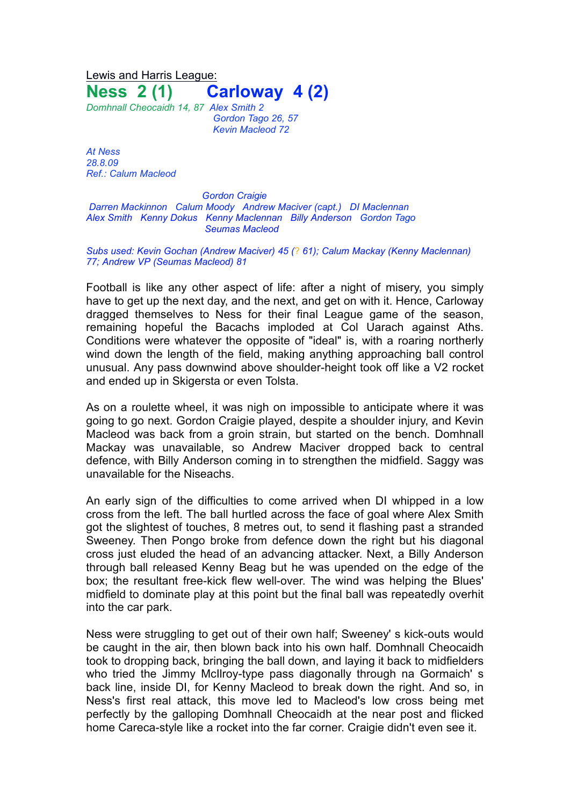Lewis and Harris League: **Ness 2 (1) Carloway 4 (2)**

*Domhnall Cheocaidh 14, 87 Alex Smith 2 Gordon Tago 26, 57 Kevin Macleod 72*

*At Ness 28.8.09 Ref.: Calum Macleod*

*Gordon Craigie Darren Mackinnon Calum Moody Andrew Maciver (capt.) DI Maclennan Alex Smith Kenny Dokus Kenny Maclennan Billy Anderson Gordon Tago Seumas Macleod*

*Subs used: Kevin Gochan (Andrew Maciver) 45 (*? *61); Calum Mackay (Kenny Maclennan) 77; Andrew VP (Seumas Macleod) 81*

Football is like any other aspect of life: after a night of misery, you simply have to get up the next day, and the next, and get on with it. Hence, Carloway dragged themselves to Ness for their final League game of the season, remaining hopeful the Bacachs imploded at Col Uarach against Aths. Conditions were whatever the opposite of "ideal" is, with a roaring northerly wind down the length of the field, making anything approaching ball control unusual. Any pass downwind above shoulder-height took off like a V2 rocket and ended up in Skigersta or even Tolsta.

As on a roulette wheel, it was nigh on impossible to anticipate where it was going to go next. Gordon Craigie played, despite a shoulder injury, and Kevin Macleod was back from a groin strain, but started on the bench. Domhnall Mackay was unavailable, so Andrew Maciver dropped back to central defence, with Billy Anderson coming in to strengthen the midfield. Saggy was unavailable for the Niseachs.

An early sign of the difficulties to come arrived when DI whipped in a low cross from the left. The ball hurtled across the face of goal where Alex Smith got the slightest of touches, 8 metres out, to send it flashing past a stranded Sweeney. Then Pongo broke from defence down the right but his diagonal cross just eluded the head of an advancing attacker. Next, a Billy Anderson through ball released Kenny Beag but he was upended on the edge of the box; the resultant free-kick flew well-over. The wind was helping the Blues' midfield to dominate play at this point but the final ball was repeatedly overhit into the car park.

Ness were struggling to get out of their own half; Sweeney' s kick-outs would be caught in the air, then blown back into his own half. Domhnall Cheocaidh took to dropping back, bringing the ball down, and laying it back to midfielders who tried the Jimmy McIlroy-type pass diagonally through na Gormaich' s back line, inside DI, for Kenny Macleod to break down the right. And so, in Ness's first real attack, this move led to Macleod's low cross being met perfectly by the galloping Domhnall Cheocaidh at the near post and flicked home Careca-style like a rocket into the far corner. Craigie didn't even see it.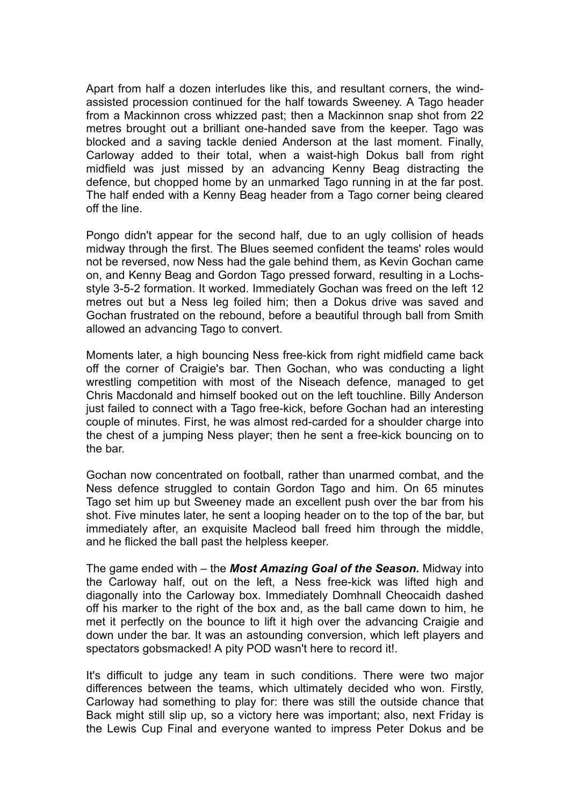Apart from half a dozen interludes like this, and resultant corners, the windassisted procession continued for the half towards Sweeney. A Tago header from a Mackinnon cross whizzed past; then a Mackinnon snap shot from 22 metres brought out a brilliant one-handed save from the keeper. Tago was blocked and a saving tackle denied Anderson at the last moment. Finally, Carloway added to their total, when a waist-high Dokus ball from right midfield was just missed by an advancing Kenny Beag distracting the defence, but chopped home by an unmarked Tago running in at the far post. The half ended with a Kenny Beag header from a Tago corner being cleared off the line.

Pongo didn't appear for the second half, due to an ugly collision of heads midway through the first. The Blues seemed confident the teams' roles would not be reversed, now Ness had the gale behind them, as Kevin Gochan came on, and Kenny Beag and Gordon Tago pressed forward, resulting in a Lochsstyle 3-5-2 formation. It worked. Immediately Gochan was freed on the left 12 metres out but a Ness leg foiled him; then a Dokus drive was saved and Gochan frustrated on the rebound, before a beautiful through ball from Smith allowed an advancing Tago to convert.

Moments later, a high bouncing Ness free-kick from right midfield came back off the corner of Craigie's bar. Then Gochan, who was conducting a light wrestling competition with most of the Niseach defence, managed to get Chris Macdonald and himself booked out on the left touchline. Billy Anderson just failed to connect with a Tago free-kick, before Gochan had an interesting couple of minutes. First, he was almost red-carded for a shoulder charge into the chest of a jumping Ness player; then he sent a free-kick bouncing on to the bar.

Gochan now concentrated on football, rather than unarmed combat, and the Ness defence struggled to contain Gordon Tago and him. On 65 minutes Tago set him up but Sweeney made an excellent push over the bar from his shot. Five minutes later, he sent a looping header on to the top of the bar, but immediately after, an exquisite Macleod ball freed him through the middle, and he flicked the ball past the helpless keeper.

The game ended with – the *Most Amazing Goal of the Season.* Midway into the Carloway half, out on the left, a Ness free-kick was lifted high and diagonally into the Carloway box. Immediately Domhnall Cheocaidh dashed off his marker to the right of the box and, as the ball came down to him, he met it perfectly on the bounce to lift it high over the advancing Craigie and down under the bar. It was an astounding conversion, which left players and spectators gobsmacked! A pity POD wasn't here to record it!.

It's difficult to judge any team in such conditions. There were two major differences between the teams, which ultimately decided who won. Firstly, Carloway had something to play for: there was still the outside chance that Back might still slip up, so a victory here was important; also, next Friday is the Lewis Cup Final and everyone wanted to impress Peter Dokus and be